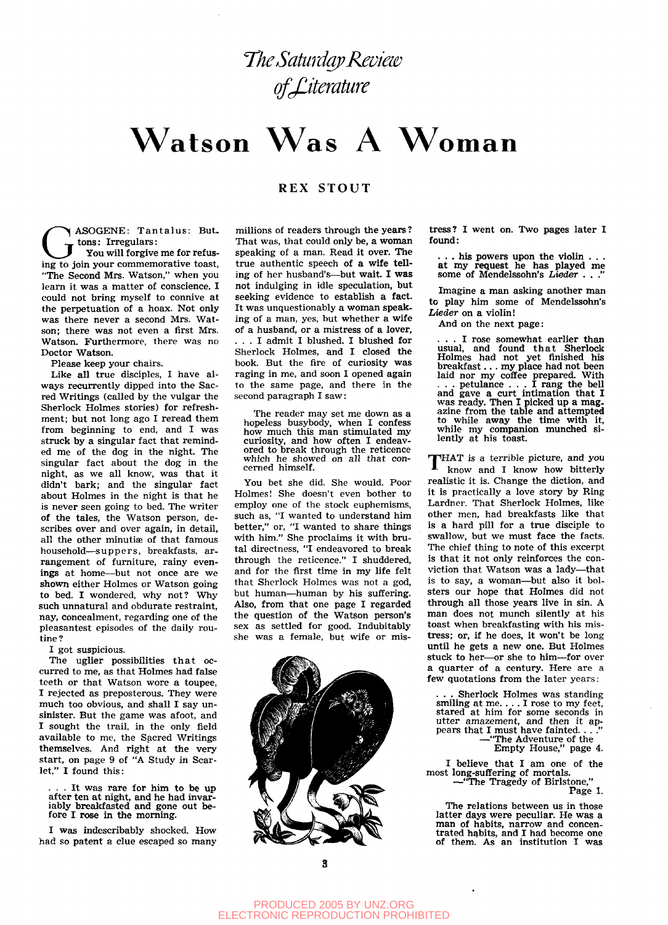# $W$ atson  $W$ as A $\;$ Woman

# REX STOUT

ASOGENE: Tantalus: Buttons: Irregulars:

GENE: Tantalus: But.<br>
Tons: Irregulars:<br>
You will forgive me for refus-<br>
ing to join your commemorative toast, You will forgive me for refus-"The Second Mrs. Watson," when you learn it was a matter of conscience. I could not bring myself to connive at the perpetuation of a hoax. Not only was there never a second Mrs. Watson; there was not even a first Mrs. Watson. Furthermore, there was no Doctor Watson.

Please keep your chairs.

Like all true disciples, I have always recurrently dipped into the Sacred Writings (called by the vulgar the Sherlock Holmes stories) for refreshment; but not long ago I reread them from beginning to end, and I was struck by a singular fact that reminded me of the dog in the night. The singular fact about the dog in the night, as we all know, was that it didn't bark; and the singular fact about Holmes in the night is that he is never seen going to bed. The writer of the tales, the Watson person, describes over and over again, in detail, all the other minutiæ of that famous household—suppers, breakfasts, arrangement of furniture, rainy evenings at home—but not once are we shown either Holmes or Watson going to bed. I wondered, why not? Why such unnatural and obdurate restraint, nay, concealment, regarding one of the pleasantest episodes of the daily routine?

I got suspicious.

The uglier possibilities that occurred to me, as that Holmes had false teeth or that Watson wore a toupee, I rejected as preposterous. They were much too obvious, and shall I say unsinister. But the game was afoot, and I sought the trail, in the only field available to me, the Sacred Writings themselves. And right at the very start, on page 9 of "A Study in Scarlet," I found this:

. It was rare for him to be up afte**r** ten at night, and he had invariably breakfasted and gone out before I rose in the morning.

I was indescribably shocked. How had so patent a clue escaped so many

millions of readers through the years ? That was, that could only be, a woman speaking of a man. Read it over. The true authentic speech of a wife telling of her husband's—but wait. I was not indulging in idle speculation, but seeking evidence to establish a fact. It was unquestionably a woman speaking of a man, yes, but whether a wife of a husband, or a mistress of a lover, . . . I admit I blushed. I blushed for Sherlock Holmes, and I closed the book. But the fire of curiosity was raging in me, and soon I opened again to the same page, and there in the second paragraph I saw:

The reader may set me down as a hopeless busybody, when I confess how much this man stimulated my curiosity, and how often I endeavored to break through the reticence which he showed on all that concerned himself.

You bet she did. She would. Poor Holmes! She doesn't even bother to employ one of the stock euphemisms, such as, "I wanted to understand him better," or, "I wanted to share things with him." She proclaims it with brutal directness, "I endeavored to break through the reticence." I shuddered, and for the first time in my life felt that Sherlock Holmes was not a god, but human—human by his suffering. Also, from that one page I regarded the question of the Watson person's sex as settled for good. Indubitably she was a female, but wife or mis-



tress? I went on. Two pages later I found:

. his powers upon the violin . . at my request he has played me some of Mendelssohn's *Lieder* . . ."

Imagine a man asking another man to play him some of Mendelssohn's Lieder on a violin!

And on the next page:

. I rose somewhat earlier than usual, and found that Sherlock Holmes had not yet finished his breakfast.. . my place had not been laid nor my coffee prepared. With . . . petulance .. . I rang the bell and gave a curt intimation that I was ready. Then I picked up a mag. azine from the table and attempted to while away the time with it, while my companion munched silently at his toast.

THAT is a terrible picture, and you know and I know how bitterly realistic it is. Change the diction, and it is practically a love story by Ring Lardner. That Sherlock Holmes, like other men, had breakfasts like that is a hard pill for a true disciple to swallow, but we must face the facts. The chief thing to note of this excerpt is that it not only reinforces the conviction that Watson was a lady—that is to say, a woman—but also it bolsters our hope that Holmes did not through all those years live in sin. A man does not munch silently at his toast when breakfasting with his mistress; or, if he does, it won't be long until he gets a new one. But Holmes stuck to her—or she to him—for over a quarter of a century. Here are a few quotations from the later years:

Sherlock Holmes was standing smiling at me. .. . I rose to my feet, stared at him for some seconds in utter amazement, and then it appears that I must have fainted. —"The Adventure of the

Empty House," page 4.

I believe that I am one of the most long-suffering of mortals. —"The Tragedy of Birlstone,"

Page 1.

The relations between us in those latter days were peculiar. He was a man of habits, narrow and concentrated habits, and I had become one of them. As an institution I was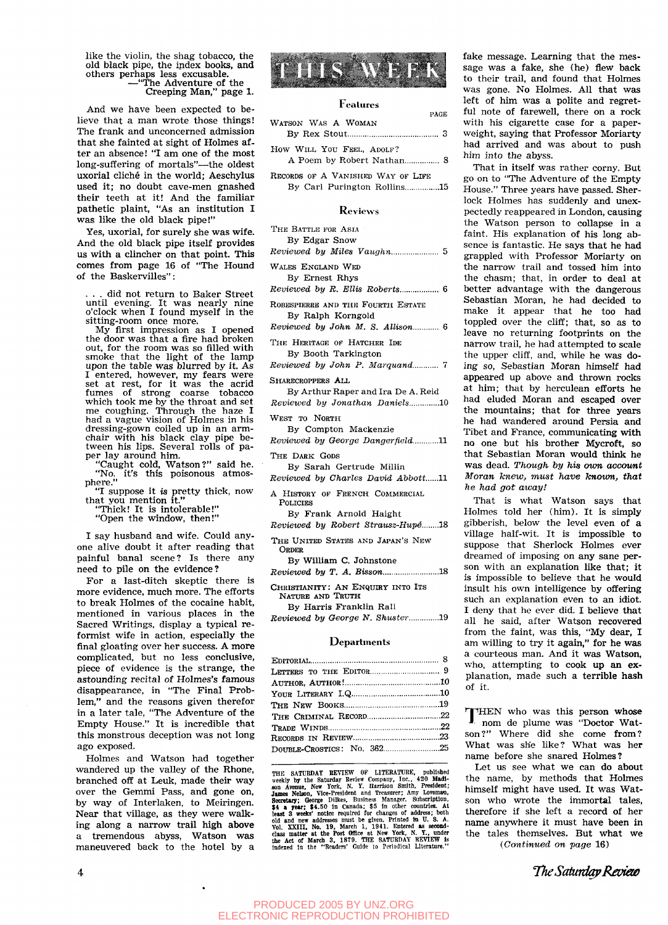like the violin, the shag tobacco, the old black pipe, the index books, and others perhaps less excusable. —"The Adventure of the

Creeping Man," page 1.

And we have been expected to believe that a man wrote those things! The frank and unconcerned admission that she fainted at sight of Holmes after an absence! "I am one of the most long-suffering of mortals"—the oldest uxorial cliche in the world; Aeschylus used it; no doubt cave-men gnashed their teeth at it! And the familiar pathetic plaint, "As an institution I was like the old black pipe!"

Yes, uxorial, for surely she was wife. And the old black pipe itself provides us with a clincher on that point. This comes from page 16 of "The Hound of the Baskervilles":

did not return to Baker Street until evening. It was nearly nine o'clock when I found myself in the sitting-room once more.

My first impression as I opened the door was that a fire had broken out, for the room was so filled with smoke that the light of the lamp upon the table was blurred by it. As I entered, however, my fears were set at rest, for it was the acrid fumes of strong coarse tobacco which took me by the throat and set me coughing. Through the haze I had a vague vision of Holmes in his dressing-gown coiled up in an armchair with his black clay pipe between his lips. Several rolls of paper lay around him.

"Caught cold, Watson?" said he. "No, it's this poisonous atmosphere."

"I suppose it *is* pretty thick, now that you mention it."

"Thick! It is intolerable!" "Open the window, then!"

I say husband and wife. Could anyone alive doubt it after reading that painful banal scene? Is there any need to pile on the evidence?

For a last-ditch skeptic there is more evidence, much more. The efforts to break Holmes of the cocaine habit, mentioned in various places in the Sacred Writings, display a typical reformist wife in action, especially the final gloating over her success. A more complicated, but no less conclusive, piece of evidence is the strange, the astounding recital of Holmes's famous disappearance, in "The Final Problem," and the reasons given therefor in a later tale, "The Adventure of the Empty House." It is incredible that this monstrous deception was not long ago exposed.

Holmes and Watson had together wandered up the valley of the Rhone, branched off at Leuk, made their way over the Gemmi Pass, and gone on, by way of Interlaken, to Meiringen. Near that village, as they were walking along a narrow trail high above a tremendous abyss, Watson was maneuvered back to the hotel by a



## Features

PAGE WATSON WAS A WOMAN By Rex Stout 3

How WILL YOU FEEL, ADOLF? A Poem by Robert Nathan................ 8

RECORDS OP A VANISHED WAY OF LIFE By Carl Purington Rollins...............15

#### **Reviews**

THE BATTLE FOR ASIA By Edgar Snow

*Reviewed by Miles Vaughn* 5

WALES ENGLAND WED By Ernest Rhys

*Reviewed by R. Ellis Roberts...................* 6

ROBESPIERRE AND THE FOURTH ESTATE By Ralph Korngold

*Reviewed by John M. S. Allison............* 6

THE HERITAGE OF HATCHER IDE By Booth Tarkington

*Reviewed by John P. Marquand...........* 7

SHARECROPPERS ALL

By Arthur Raper and Ira De A. Reid *Reviewed by Jonathan Daniels*.............10

WEST TO NORTH

By Compton Mackenzie

*Reviewed by George Dangerfield*...........11

THE DARK GODS

By Sarah Gertrude Millln *Reviewed by Charles David Abbott......11* 

A HISTORY OF FRENCH COMMERCIAL POLICIES

By Frank Arnold Haight *Reviewed by Robert Strausz-Hup^* 18

THE UNITED STATES AND JAPAN'S NEW ORDER

By William C. Johnstone *Reviewed by T. A. Bisson...........................18* 

CHRISTIANITY: AN ENQUIRY INTO ITS

NATURE AND 'IRUTH By Harris Franklin Rail

*Reviewed by George N. Shuster..............19* 

#### **Departments**

THE SATURDAY REVIEW OF LITERATURE, published seekly by the Saturday Review Company, Inc., 420 Madison Avenue, New York, N. Y. Harrison Smith, President; James Nelson, Vice-President and Treasurer; Amy Loveman, 34 a year; \$

fake message. Learning that the message was a fake, she (he) flew back to their trail, and found that Holmes was gone. No Holmes. All that was left of him was a polite and regretful note of farewell, there on a rock with his cigarette case for a paperweight, saying that Professor Moriarty had arrived and was about to push him into the abyss.

That in itself was rather corny. But go on to "The Adventure of the Empty House." Three years have passed. Sherlock Holmes has suddenly and unexpectedly reappeared in London, causing the Watson person to collapse in a faint. His explanation of his long absence is fantastic. He says that he had grappled with Professor Moriarty on the narrow trail and tossed him into the chasm; that, in order to deal at better advantage with the dangerous Sebastian Moran, he had decided to make it appear that he too had toppled over the cliff; that, so as to leave no returning footprints on the narrow trail, he had attempted to scale the upper cliff, and, while he was doing so, Sebastian Moran himself had appeared up above and thrown rocks at him; that by herculean efforts he had eluded Moran and escaped over the mountains; that for three years he had wandered around Persia and Tibet and France, communicating with no one but his brother Mycroft, so that Sebastian Moran would think he **was** dead. *Though by his oum accoimt Moran knew, must have known, that he had got away!* 

That is what Watson says that Holmes told her (him). It is simply gibberish, below the level even of a village half-wit. It is impossible to suppose that Sherlock Holmes ever dreamed of imposing on any sane person with an explanation like that; it is impossible to believe that he would insult his own intelligence by offering such an explanation even to an idiot. I deny that he ever did. I believe that all he said, after Watson recovered from the faint, was this, "My dear, I am willing to try it again," for he was a courteous man. And it was Watson, who, attempting to cook up an explanation, made such a terrible hash of it.

THEN who was this person whose<br>nom de plume was "Doctor Watnom de plume was "Doctor Watson?" Where did she come from? What was she like? What was her name before she snared Holmes?

Let us see what we can do about the name, by methods that Holmes himself might have used. It was Watson who wrote the immortal tales, therefore if she left a record of her name anywhere it must have been in the tales themselves. But what we *{Continued on page* 16)

*TTieSaturdapRamo*